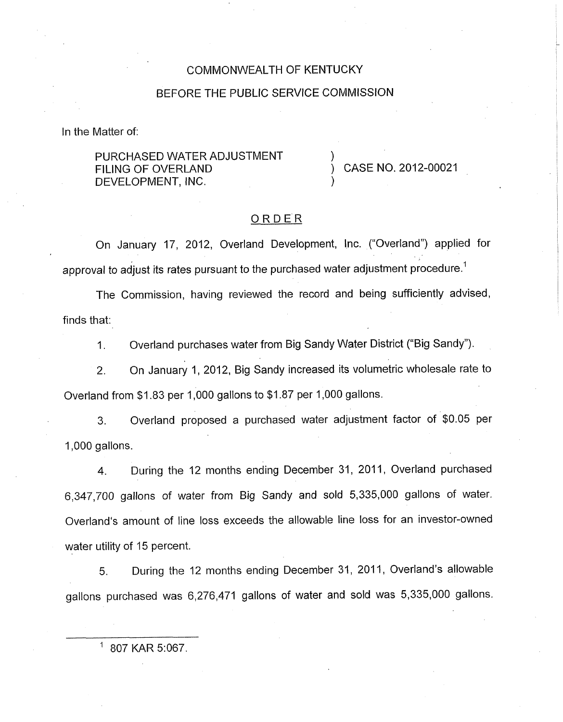### COMMONWEALTH OF KENTUCKY

### BEFORE THE PUBLIC SERVICE COMMISSION

In the Matter of:

PURCHASED WATER ADJUSTMENT DEVELOPMENT, INC. FILING OF OVERLAND (CASE NO. 2012-00021

### ORDER

On January 17, 2012, Overland Development, Inc. ("Overland") applied for approval to adjust its rates pursuant to the purchased water adjustment procedure.<sup>1</sup>

The Commission, having reviewed the record and being sufficiently advised, finds that:

1. Overland purchases water from Big Sandy Water District ("Big Sandy").

2. On January I, 2012, Big Sandy increased its volumetric wholesale rate to Overland from \$1.83 per 1,000 gallons to \$1.87 per 1,000 gallons.

3. Overland proposed a purchased water adjustment factor of \$0.05 per 1,000 gallons.

4. During the 12 months ending December 31, 2011, Overland purchased 6,347,700 gallons of water from Big Sandy and sold 5,335,000 gallons of water. Overland's amount of line loss exceeds the allowable line loss for an investor-owned water utility of 15 percent.

5. During the 12 months ending December 31, 2011, Overland's allowable gallons purchased was 6,276,471 gallons of water and sold was 5,335,000 gallons.

807 KAR 5:067.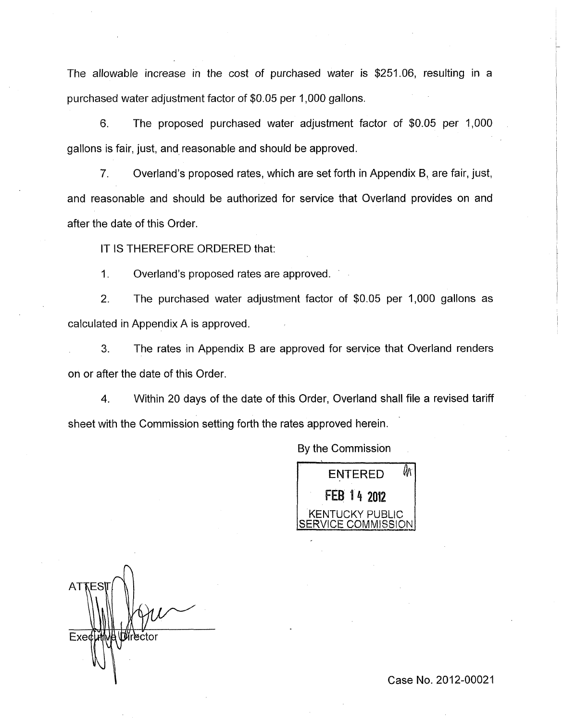The allowable increase in the cost of purchased water is \$251.06, resulting in a purchased water adjustment factor of \$0.05 per 1,000 gallons.

*6.* The proposed purchased water adjustment factor of \$0.05 per ,000 gallons is fair, just, and reasonable and should be approved.

*7.* Overland's proposed rates, which are set forth in Appendix B, are fair, just, and reasonable and should be authorized for service that Overland provides on and after the date of this Order.

IT IS THEREFORE ORDERED that:

1. Overland's proposed rates are approved.

2. The purchased water adjustment factor of \$0.05 per 1,000 gallons as calculated in Appendix A is approved.

**3.** The rates in Appendix B are approved for service that Overland renders on or after the date of this Order

4. Within 20 days of the date of this Order, Overland shall file a revised tariff sheet with the Commission setting forth the rates approved herein.

By the Commission



n Exed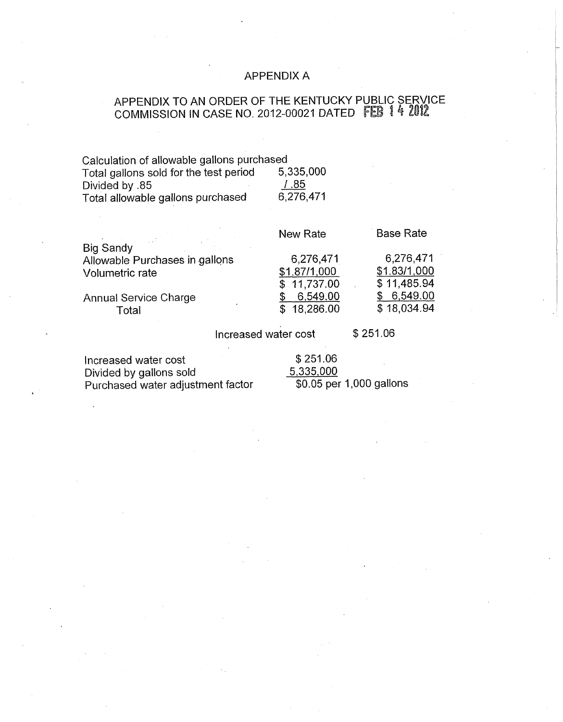# APPENDIX A

# APPENDIX TO AN ORDER OF THE KENTUCKY PUBLIC SERVICE COMMISSION IN CASE NO. 2012-00021 DATED **FEB** ! 4 2@!2

| Calculation of allowable gallons purchased |           |
|--------------------------------------------|-----------|
| Total gallons sold for the test period     | 5,335,000 |
| Divided by .85                             | 1.85      |
| Total allowable gallons purchased          | 6,276,471 |

|                                | New Rate     | <b>Base Rate</b> |
|--------------------------------|--------------|------------------|
| <b>Big Sandy</b>               |              |                  |
| Allowable Purchases in gallons | 6,276,471    | 6,276,471        |
| Volumetric rate                | \$1.87/1,000 | \$1.83/1,000     |
|                                | \$11,737.00  | \$11,485.94      |
| <b>Annual Service Charge</b>   | 6,549.00     | \$6,549.00       |
| Total                          | \$18,286.00  | \$18,034.94      |
|                                |              |                  |

Increased water cost \$251.06

Increased water cost \$251.06<br>Divided by gallons sold \$2535,000 Divided by gallons sold<br>
Purchased water adjustment factor  $\frac{5,335,000}{0.05}$  per 1,000 gallons Purchased water adjustment factor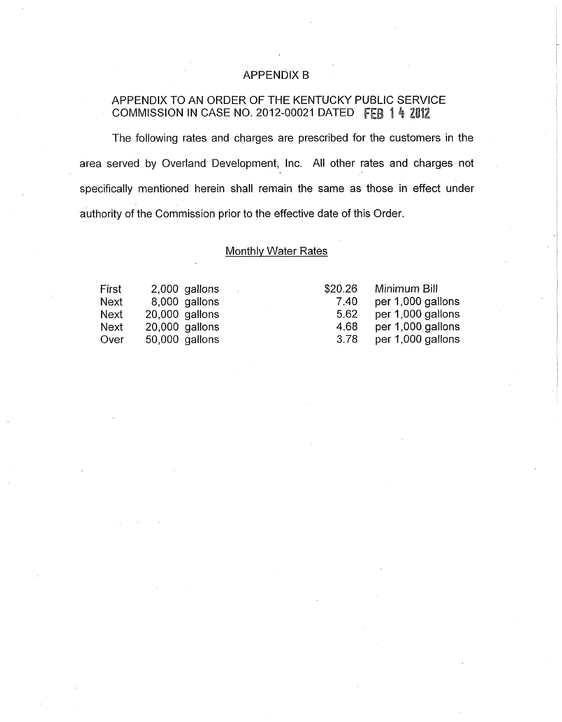## APPENDIX B

# APPENDIX TO AN ORDER OF THE KENTUCKY PUBLIC SERVICE COMMISSION IN CASE NO. 2012-00021 DATED FEB 1 4 2012

The following rates and charges are prescribed for the customers in the area served by Overland Development, Inc. All other rates and charges not specifically mentioned herein shall remain the same as those in effect under authority of the Commission prior to the effective date of this Order.

#### Monthlv Water Rates

First 2,000 gallons Next 8,000 gallons<br>Next 20,000 gallons  $20,000$  gallons Next 20,000 gallons Over 50,000 gallons

| Minimum Bill      |
|-------------------|
| per 1,000 gallons |
| per 1,000 gallons |
| per 1,000 gallons |
| per 1,000 gallons |
|                   |